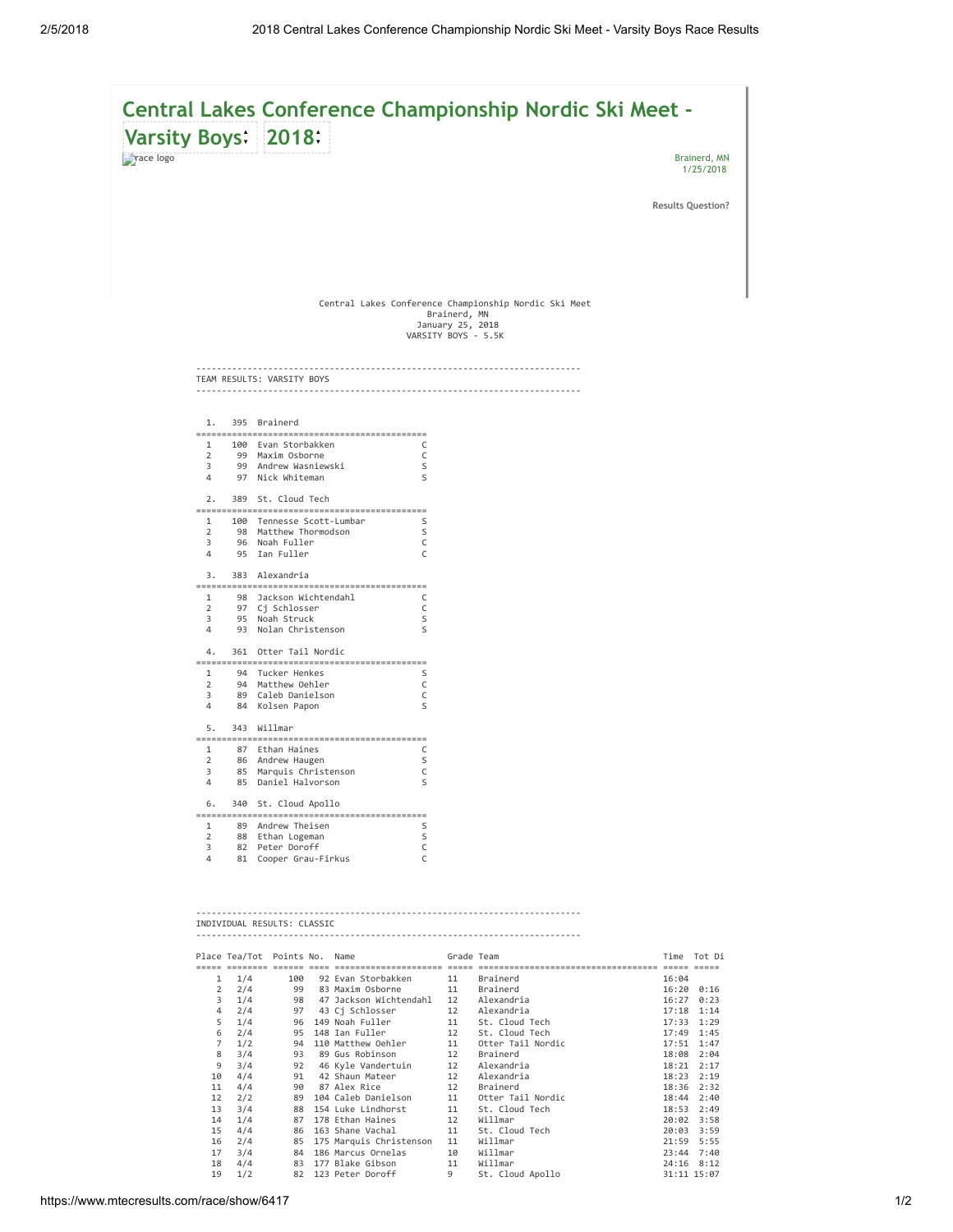